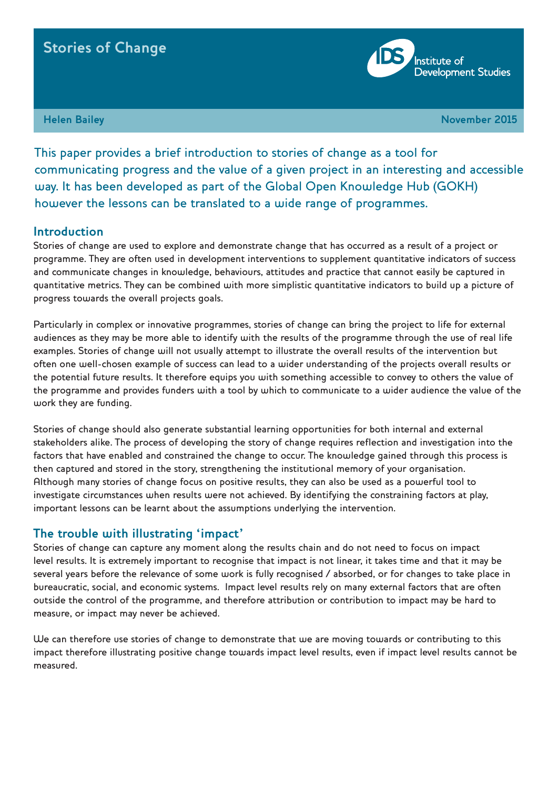# **Stories of Change**

**Institute of Development Studies** 

**Francisco Bailey Advertisers and Community Community Community Community Community Community Community Community** 

This paper provides a brief introduction to stories of change as a tool for communicating progress and the value of a given project in an interesting and accessible way. It has been developed as part of the Global Open Knowledge Hub (GOKH) however the lessons can be translated to a wide range of programmes.

#### **Introduction**

Stories of change are used to explore and demonstrate change that has occurred as a result of a project or programme. They are often used in development interventions to supplement quantitative indicators of success and communicate changes in knowledge, behaviours, attitudes and practice that cannot easily be captured in quantitative metrics. They can be combined with more simplistic quantitative indicators to build up a picture of progress towards the overall projects goals.

Particularly in complex or innovative programmes, stories of change can bring the project to life for external audiences as they may be more able to identify with the results of the programme through the use of real life examples. Stories of change will not usually attempt to illustrate the overall results of the intervention but often one well-chosen example of success can lead to a wider understanding of the projects overall results or the potential future results. It therefore equips you with something accessible to convey to others the value of the programme and provides funders with a tool by which to communicate to a wider audience the value of the work they are funding.

Stories of change should also generate substantial learning opportunities for both internal and external stakeholders alike. The process of developing the story of change requires reflection and investigation into the factors that have enabled and constrained the change to occur. The knowledge gained through this process is then captured and stored in the story, strengthening the institutional memory of your organisation. Although many stories of change focus on positive results, they can also be used as a powerful tool to investigate circumstances when results were not achieved. By identifying the constraining factors at play, important lessons can be learnt about the assumptions underlying the intervention.

#### **The trouble with illustrating 'impact'**

Stories of change can capture any moment along the results chain and do not need to focus on impact level results. It is extremely important to recognise that impact is not linear, it takes time and that it may be several years before the relevance of some work is fully recognised / absorbed, or for changes to take place in bureaucratic, social, and economic systems. Impact level results rely on many external factors that are often outside the control of the programme, and therefore attribution or contribution to impact may be hard to measure, or impact may never be achieved.

We can therefore use stories of change to demonstrate that we are moving towards or contributing to this impact therefore illustrating positive change towards impact level results, even if impact level results cannot be measured.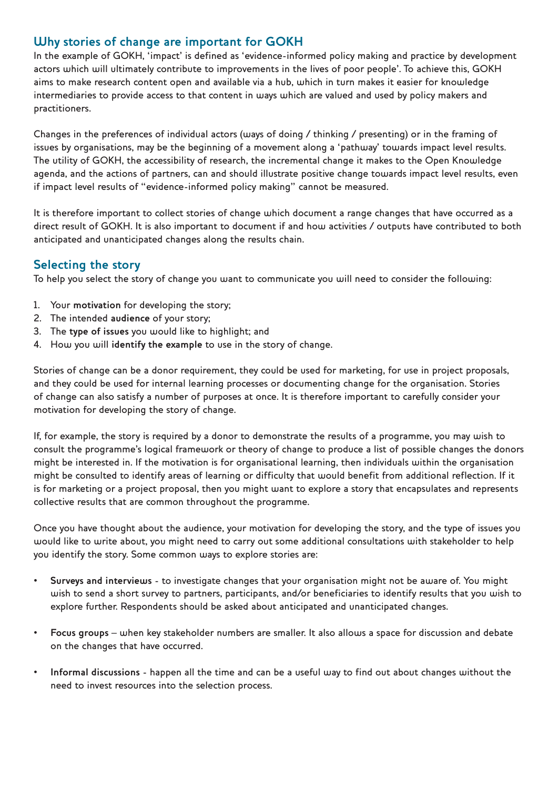## **Why stories of change are important for GOKH**

In the example of GOKH, 'impact' is defined as 'evidence-informed policy making and practice by development actors which will ultimately contribute to improvements in the lives of poor people'. To achieve this, GOKH aims to make research content open and available via a hub, which in turn makes it easier for knowledge intermediaries to provide access to that content in ways which are valued and used by policy makers and practitioners.

Changes in the preferences of individual actors (ways of doing / thinking / presenting) or in the framing of issues by organisations, may be the beginning of a movement along a 'pathway' towards impact level results. The utility of GOKH, the accessibility of research, the incremental change it makes to the Open Knowledge agenda, and the actions of partners, can and should illustrate positive change towards impact level results, even if impact level results of "evidence-informed policy making" cannot be measured.

It is therefore important to collect stories of change which document a range changes that have occurred as a direct result of GOKH. It is also important to document if and how activities / outputs have contributed to both anticipated and unanticipated changes along the results chain.

#### **Selecting the story**

To help you select the story of change you want to communicate you will need to consider the following:

- 1. Your **motivation** for developing the story;
- 2. The intended **audience** of your story;
- 3. The **type of issues** you would like to highlight; and
- 4. How you will **identify the example** to use in the story of change.

Stories of change can be a donor requirement, they could be used for marketing, for use in project proposals, and they could be used for internal learning processes or documenting change for the organisation. Stories of change can also satisfy a number of purposes at once. It is therefore important to carefully consider your motivation for developing the story of change.

If, for example, the story is required by a donor to demonstrate the results of a programme, you may wish to consult the programme's logical framework or theory of change to produce a list of possible changes the donors might be interested in. If the motivation is for organisational learning, then individuals within the organisation might be consulted to identify areas of learning or difficulty that would benefit from additional reflection. If it is for marketing or a project proposal, then you might want to explore a story that encapsulates and represents collective results that are common throughout the programme.

Once you have thought about the audience, your motivation for developing the story, and the type of issues you would like to write about, you might need to carry out some additional consultations with stakeholder to help you identify the story. Some common ways to explore stories are:

- **• Surveys and interviews** to investigate changes that your organisation might not be aware of. You might wish to send a short survey to partners, participants, and/or beneficiaries to identify results that you wish to explore further. Respondents should be asked about anticipated and unanticipated changes.
- **• Focus groups** when key stakeholder numbers are smaller. It also allows a space for discussion and debate on the changes that have occurred.
- **• Informal discussions** happen all the time and can be a useful way to find out about changes without the need to invest resources into the selection process.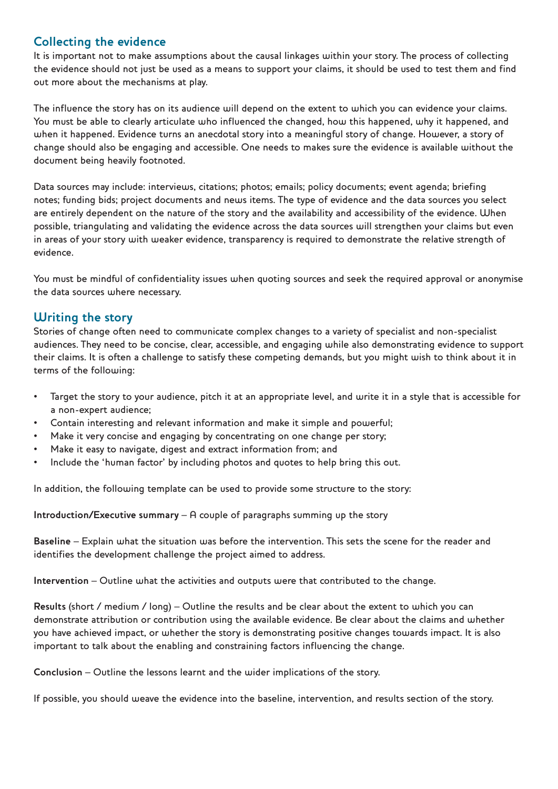## **Collecting the evidence**

It is important not to make assumptions about the causal linkages within your story. The process of collecting the evidence should not just be used as a means to support your claims, it should be used to test them and find out more about the mechanisms at play.

The influence the story has on its audience will depend on the extent to which you can evidence your claims. You must be able to clearly articulate who influenced the changed, how this happened, why it happened, and when it happened. Evidence turns an anecdotal story into a meaningful story of change. However, a story of change should also be engaging and accessible. One needs to makes sure the evidence is available without the document being heavily footnoted.

Data sources may include: interviews, citations; photos; emails; policy documents; event agenda; briefing notes; funding bids; project documents and news items. The type of evidence and the data sources you select are entirely dependent on the nature of the story and the availability and accessibility of the evidence. When possible, triangulating and validating the evidence across the data sources will strengthen your claims but even in areas of your story with weaker evidence, transparency is required to demonstrate the relative strength of evidence.

You must be mindful of confidentiality issues when quoting sources and seek the required approval or anonymise the data sources where necessary.

#### **Writing the story**

Stories of change often need to communicate complex changes to a variety of specialist and non-specialist audiences. They need to be concise, clear, accessible, and engaging while also demonstrating evidence to support their claims. It is often a challenge to satisfy these competing demands, but you might wish to think about it in terms of the following:

- Target the story to your audience, pitch it at an appropriate level, and write it in a style that is accessible for a non-expert audience;
- Contain interesting and relevant information and make it simple and powerful;
- Make it very concise and engaging by concentrating on one change per story;
- Make it easy to navigate, digest and extract information from; and
- Include the 'human factor' by including photos and quotes to help bring this out.

In addition, the following template can be used to provide some structure to the story:

**Introduction/Executive summary** – A couple of paragraphs summing up the story

**Baseline** – Explain what the situation was before the intervention. This sets the scene for the reader and identifies the development challenge the project aimed to address.

**Intervention** – Outline what the activities and outputs were that contributed to the change.

**Results** (short / medium / long) – Outline the results and be clear about the extent to which you can demonstrate attribution or contribution using the available evidence. Be clear about the claims and whether you have achieved impact, or whether the story is demonstrating positive changes towards impact. It is also important to talk about the enabling and constraining factors influencing the change.

**Conclusion** – Outline the lessons learnt and the wider implications of the story.

If possible, you should weave the evidence into the baseline, intervention, and results section of the story.